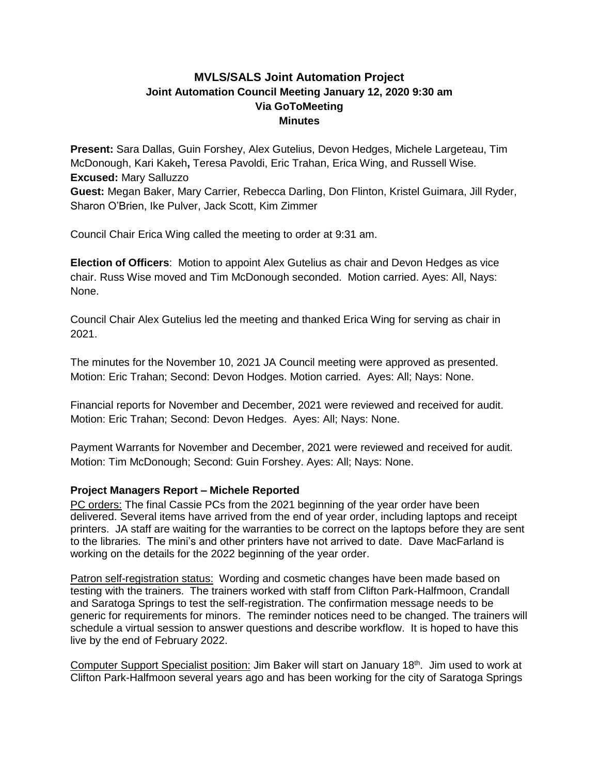# **MVLS/SALS Joint Automation Project Joint Automation Council Meeting January 12, 2020 9:30 am Via GoToMeeting Minutes**

**Present:** Sara Dallas, Guin Forshey, Alex Gutelius, Devon Hedges, Michele Largeteau, Tim McDonough, Kari Kakeh**,** Teresa Pavoldi, Eric Trahan, Erica Wing, and Russell Wise. **Excused:** Mary Salluzzo

**Guest:** Megan Baker, Mary Carrier, Rebecca Darling, Don Flinton, Kristel Guimara, Jill Ryder, Sharon O'Brien, Ike Pulver, Jack Scott, Kim Zimmer

Council Chair Erica Wing called the meeting to order at 9:31 am.

**Election of Officers**: Motion to appoint Alex Gutelius as chair and Devon Hedges as vice chair. Russ Wise moved and Tim McDonough seconded. Motion carried. Ayes: All, Nays: None.

Council Chair Alex Gutelius led the meeting and thanked Erica Wing for serving as chair in 2021.

The minutes for the November 10, 2021 JA Council meeting were approved as presented. Motion: Eric Trahan; Second: Devon Hodges. Motion carried. Ayes: All; Nays: None.

Financial reports for November and December, 2021 were reviewed and received for audit. Motion: Eric Trahan; Second: Devon Hedges. Ayes: All; Nays: None.

Payment Warrants for November and December, 2021 were reviewed and received for audit. Motion: Tim McDonough; Second: Guin Forshey. Ayes: All; Nays: None.

## **Project Managers Report – Michele Reported**

PC orders: The final Cassie PCs from the 2021 beginning of the year order have been delivered. Several items have arrived from the end of year order, including laptops and receipt printers. JA staff are waiting for the warranties to be correct on the laptops before they are sent to the libraries. The mini's and other printers have not arrived to date. Dave MacFarland is working on the details for the 2022 beginning of the year order.

Patron self-registration status: Wording and cosmetic changes have been made based on testing with the trainers. The trainers worked with staff from Clifton Park-Halfmoon, Crandall and Saratoga Springs to test the self-registration. The confirmation message needs to be generic for requirements for minors. The reminder notices need to be changed. The trainers will schedule a virtual session to answer questions and describe workflow. It is hoped to have this live by the end of February 2022.

Computer Support Specialist position: Jim Baker will start on January 18<sup>th</sup>. Jim used to work at Clifton Park-Halfmoon several years ago and has been working for the city of Saratoga Springs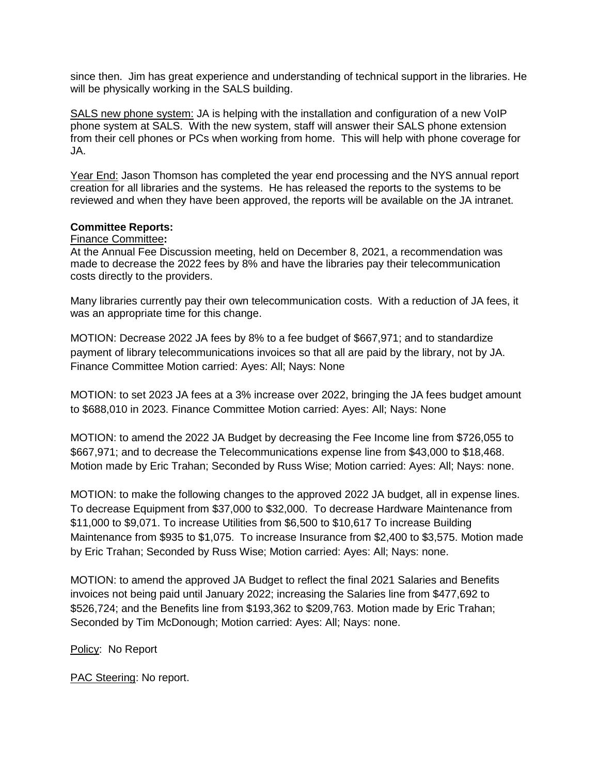since then. Jim has great experience and understanding of technical support in the libraries. He will be physically working in the SALS building.

SALS new phone system: JA is helping with the installation and configuration of a new VoIP phone system at SALS. With the new system, staff will answer their SALS phone extension from their cell phones or PCs when working from home. This will help with phone coverage for JA.

Year End: Jason Thomson has completed the year end processing and the NYS annual report creation for all libraries and the systems. He has released the reports to the systems to be reviewed and when they have been approved, the reports will be available on the JA intranet.

#### **Committee Reports:**

#### Finance Committee**:**

At the Annual Fee Discussion meeting, held on December 8, 2021, a recommendation was made to decrease the 2022 fees by 8% and have the libraries pay their telecommunication costs directly to the providers.

Many libraries currently pay their own telecommunication costs. With a reduction of JA fees, it was an appropriate time for this change.

MOTION: Decrease 2022 JA fees by 8% to a fee budget of \$667,971; and to standardize payment of library telecommunications invoices so that all are paid by the library, not by JA. Finance Committee Motion carried: Ayes: All; Nays: None

MOTION: to set 2023 JA fees at a 3% increase over 2022, bringing the JA fees budget amount to \$688,010 in 2023. Finance Committee Motion carried: Ayes: All; Nays: None

MOTION: to amend the 2022 JA Budget by decreasing the Fee Income line from \$726,055 to \$667,971; and to decrease the Telecommunications expense line from \$43,000 to \$18,468. Motion made by Eric Trahan; Seconded by Russ Wise; Motion carried: Ayes: All; Nays: none.

MOTION: to make the following changes to the approved 2022 JA budget, all in expense lines. To decrease Equipment from \$37,000 to \$32,000. To decrease Hardware Maintenance from \$11,000 to \$9,071. To increase Utilities from \$6,500 to \$10,617 To increase Building Maintenance from \$935 to \$1,075. To increase Insurance from \$2,400 to \$3,575. Motion made by Eric Trahan; Seconded by Russ Wise; Motion carried: Ayes: All; Nays: none.

MOTION: to amend the approved JA Budget to reflect the final 2021 Salaries and Benefits invoices not being paid until January 2022; increasing the Salaries line from \$477,692 to \$526,724; and the Benefits line from \$193,362 to \$209,763. Motion made by Eric Trahan; Seconded by Tim McDonough; Motion carried: Ayes: All; Nays: none.

Policy: No Report

PAC Steering: No report.